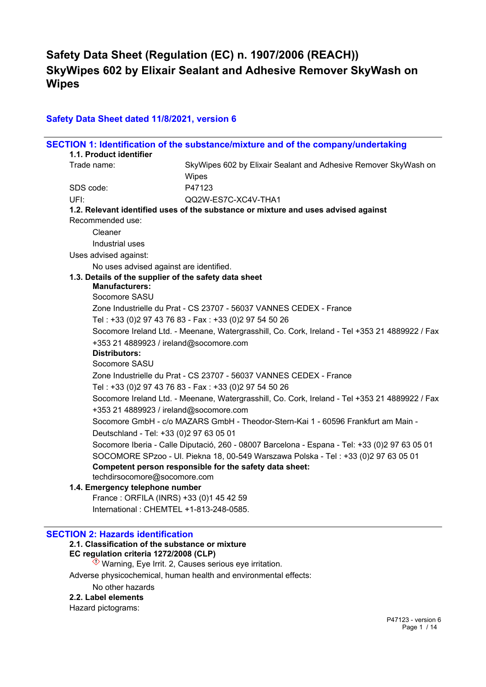## **Safety Data Sheet dated 11/8/2021, version 6**

|                                                       | SECTION 1: Identification of the substance/mixture and of the company/undertaking              |
|-------------------------------------------------------|------------------------------------------------------------------------------------------------|
| 1.1. Product identifier                               |                                                                                                |
| Trade name:                                           | SkyWipes 602 by Elixair Sealant and Adhesive Remover SkyWash on                                |
|                                                       | Wipes                                                                                          |
| SDS code:                                             | P47123                                                                                         |
| UFI:                                                  | QQ2W-ES7C-XC4V-THA1                                                                            |
|                                                       | 1.2. Relevant identified uses of the substance or mixture and uses advised against             |
| Recommended use:                                      |                                                                                                |
| Cleaner                                               |                                                                                                |
| Industrial uses                                       |                                                                                                |
| Uses advised against:                                 |                                                                                                |
| No uses advised against are identified.               |                                                                                                |
| 1.3. Details of the supplier of the safety data sheet |                                                                                                |
| <b>Manufacturers:</b>                                 |                                                                                                |
| Socomore SASU                                         |                                                                                                |
|                                                       | Zone Industrielle du Prat - CS 23707 - 56037 VANNES CEDEX - France                             |
|                                                       | Tel: +33 (0)2 97 43 76 83 - Fax: +33 (0)2 97 54 50 26                                          |
|                                                       | Socomore Ireland Ltd. - Meenane, Watergrasshill, Co. Cork, Ireland - Tel +353 21 4889922 / Fax |
| +353 21 4889923 / ireland@socomore.com                |                                                                                                |
| <b>Distributors:</b>                                  |                                                                                                |
| Socomore SASU                                         |                                                                                                |
|                                                       | Zone Industrielle du Prat - CS 23707 - 56037 VANNES CEDEX - France                             |
|                                                       | Tel: +33 (0)2 97 43 76 83 - Fax: +33 (0)2 97 54 50 26                                          |
|                                                       | Socomore Ireland Ltd. - Meenane, Watergrasshill, Co. Cork, Ireland - Tel +353 21 4889922 / Fax |
| +353 21 4889923 / ireland@socomore.com                |                                                                                                |
|                                                       | Socomore GmbH - c/o MAZARS GmbH - Theodor-Stern-Kai 1 - 60596 Frankfurt am Main -              |
| Deutschland - Tel: +33 (0) 2 97 63 05 01              |                                                                                                |
|                                                       | Socomore Iberia - Calle Diputació, 260 - 08007 Barcelona - Espana - Tel: +33 (0)2 97 63 05 01  |
|                                                       | SOCOMORE SPzoo - UI. Piekna 18, 00-549 Warszawa Polska - Tel: +33 (0)2 97 63 05 01             |
|                                                       | Competent person responsible for the safety data sheet:                                        |
| techdirsocomore@socomore.com                          |                                                                                                |
| 1.4. Emergency telephone number                       |                                                                                                |
| France: ORFILA (INRS) +33 (0)1 45 42 59               |                                                                                                |
| International: CHEMTEL +1-813-248-0585.               |                                                                                                |

#### **SECTION 2: Hazards identification**

## **2.1. Classification of the substance or mixture**

## **EC regulation criteria 1272/2008 (CLP)**

 $\Diamond$  Warning, Eye Irrit. 2, Causes serious eye irritation.

Adverse physicochemical, human health and environmental effects:

#### No other hazards

#### **2.2. Label elements**

Hazard pictograms: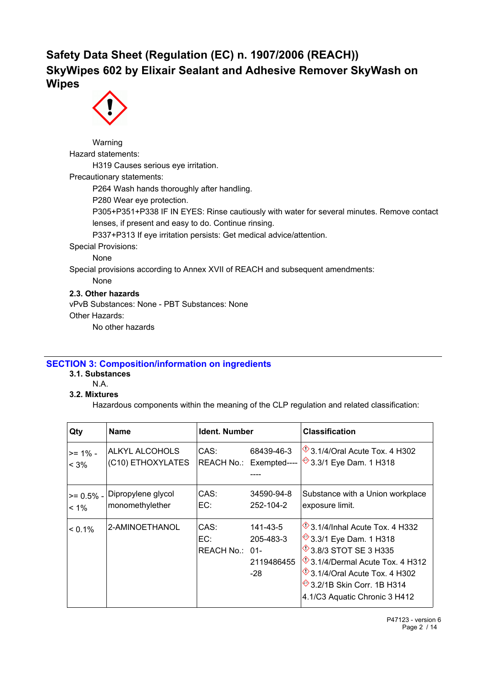

Warning Hazard statements: H319 Causes serious eye irritation. Precautionary statements: P264 Wash hands thoroughly after handling. P280 Wear eye protection. P305+P351+P338 IF IN EYES: Rinse cautiously with water for several minutes. Remove contact lenses, if present and easy to do. Continue rinsing. P337+P313 If eye irritation persists: Get medical advice/attention. Special Provisions: None Special provisions according to Annex XVII of REACH and subsequent amendments: None **2.3. Other hazards**

vPvB Substances: None - PBT Substances: None Other Hazards: No other hazards

## **SECTION 3: Composition/information on ingredients**

- **3.1. Substances**
	- N.A.

## **3.2. Mixtures**

Hazardous components within the meaning of the CLP regulation and related classification:

| Qty          | <b>Name</b>        | Ident. Number                 |                                              | <b>Classification</b>                                                                                                                                                                                                                                                                           |
|--------------|--------------------|-------------------------------|----------------------------------------------|-------------------------------------------------------------------------------------------------------------------------------------------------------------------------------------------------------------------------------------------------------------------------------------------------|
| $>= 1\%$ -   | ALKYL ALCOHOLS     | CAS:                          | 68439-46-3                                   | $\sqrt[6]{3.1/4}$ /Oral Acute Tox. 4 H302                                                                                                                                                                                                                                                       |
| $< 3\%$      | (C10) ETHOXYLATES  |                               | REACH No.: Exempted----                      | <sup>◆</sup> 3.3/1 Eye Dam. 1 H318                                                                                                                                                                                                                                                              |
| $>= 0.5\%$ - | Dipropylene glycol | CAS:                          | 34590-94-8                                   | Substance with a Union workplace                                                                                                                                                                                                                                                                |
| $< 1\%$      | monomethylether    | EC:                           | 252-104-2                                    | exposure limit.                                                                                                                                                                                                                                                                                 |
| $< 0.1\%$    | 2-AMINOETHANOL     | CAS:<br>EC:<br>REACH No.: 01- | 141-43-5<br>205-483-3<br>2119486455<br>$-28$ | $\sqrt{$}$ 3.1/4/Inhal Acute Tox. 4 H332<br><b><sup>→</sup>3.3/1 Eye Dam. 1 H318</b><br><b>13.8/3 STOT SE 3 H335</b><br>$\sqrt[4]{3.1/4}$ /Dermal Acute Tox. 4 H312<br>$\sqrt{$}$ 3.1/4/Oral Acute Tox. 4 H302<br><b><sup>→</sup>3.2/1B Skin Corr. 1B H314</b><br>4.1/C3 Aquatic Chronic 3 H412 |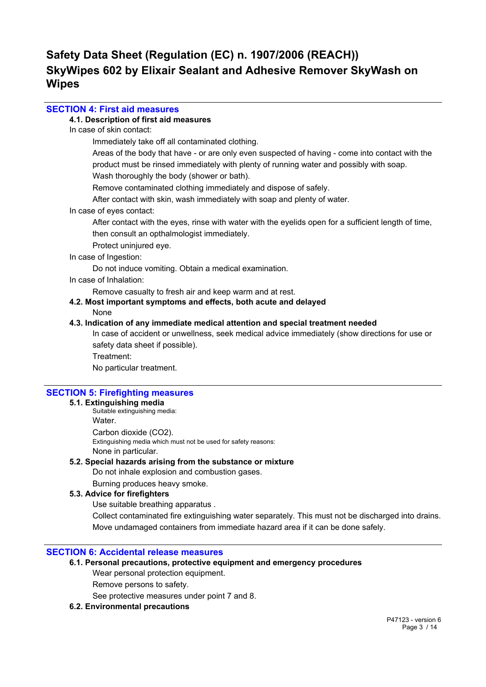## **SECTION 4: First aid measures**

#### **4.1. Description of first aid measures**

In case of skin contact:

Immediately take off all contaminated clothing.

Areas of the body that have - or are only even suspected of having - come into contact with the product must be rinsed immediately with plenty of running water and possibly with soap.

Wash thoroughly the body (shower or bath).

Remove contaminated clothing immediately and dispose of safely.

After contact with skin, wash immediately with soap and plenty of water.

#### In case of eyes contact:

After contact with the eyes, rinse with water with the eyelids open for a sufficient length of time, then consult an opthalmologist immediately.

Protect uninjured eye.

#### In case of Ingestion:

Do not induce vomiting. Obtain a medical examination.

In case of Inhalation:

Remove casualty to fresh air and keep warm and at rest.

### **4.2. Most important symptoms and effects, both acute and delayed** None

#### **4.3. Indication of any immediate medical attention and special treatment needed**

In case of accident or unwellness, seek medical advice immediately (show directions for use or safety data sheet if possible).

Treatment:

No particular treatment.

### **SECTION 5: Firefighting measures**

#### **5.1. Extinguishing media**

Suitable extinguishing media: Water. Carbon dioxide (CO2). Extinguishing media which must not be used for safety reasons: None in particular.

### **5.2. Special hazards arising from the substance or mixture**

Do not inhale explosion and combustion gases.

Burning produces heavy smoke.

### **5.3. Advice for firefighters**

Use suitable breathing apparatus .

Collect contaminated fire extinguishing water separately. This must not be discharged into drains. Move undamaged containers from immediate hazard area if it can be done safely.

#### **SECTION 6: Accidental release measures**

### **6.1. Personal precautions, protective equipment and emergency procedures**

Wear personal protection equipment.

Remove persons to safety.

See protective measures under point 7 and 8.

### **6.2. Environmental precautions**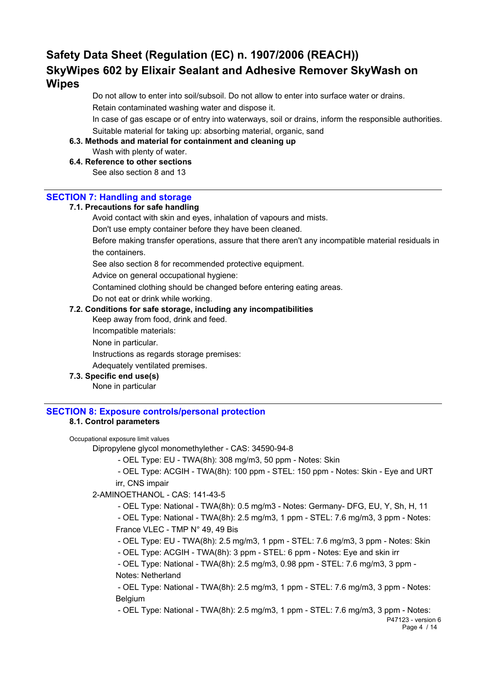Do not allow to enter into soil/subsoil. Do not allow to enter into surface water or drains. Retain contaminated washing water and dispose it.

In case of gas escape or of entry into waterways, soil or drains, inform the responsible authorities. Suitable material for taking up: absorbing material, organic, sand

#### **6.3. Methods and material for containment and cleaning up**

Wash with plenty of water.

## **6.4. Reference to other sections**

See also section 8 and 13

## **SECTION 7: Handling and storage**

### **7.1. Precautions for safe handling**

Avoid contact with skin and eyes, inhalation of vapours and mists.

Don't use empty container before they have been cleaned.

Before making transfer operations, assure that there aren't any incompatible material residuals in the containers.

See also section 8 for recommended protective equipment.

Advice on general occupational hygiene:

Contamined clothing should be changed before entering eating areas.

Do not eat or drink while working.

### **7.2. Conditions for safe storage, including any incompatibilities**

Keep away from food, drink and feed.

Incompatible materials:

None in particular.

Instructions as regards storage premises:

Adequately ventilated premises.

### **7.3. Specific end use(s)**

None in particular

## **SECTION 8: Exposure controls/personal protection**

### **8.1. Control parameters**

#### Occupational exposure limit values

Dipropylene glycol monomethylether - CAS: 34590-94-8

- OEL Type: EU - TWA(8h): 308 mg/m3, 50 ppm - Notes: Skin

 - OEL Type: ACGIH - TWA(8h): 100 ppm - STEL: 150 ppm - Notes: Skin - Eye and URT irr, CNS impair

### 2-AMINOETHANOL - CAS: 141-43-5

- OEL Type: National - TWA(8h): 0.5 mg/m3 - Notes: Germany- DFG, EU, Y, Sh, H, 11

 - OEL Type: National - TWA(8h): 2.5 mg/m3, 1 ppm - STEL: 7.6 mg/m3, 3 ppm - Notes: France VLEC - TMP N° 49, 49 Bis

- OEL Type: EU - TWA(8h): 2.5 mg/m3, 1 ppm - STEL: 7.6 mg/m3, 3 ppm - Notes: Skin

- OEL Type: ACGIH - TWA(8h): 3 ppm - STEL: 6 ppm - Notes: Eye and skin irr

 - OEL Type: National - TWA(8h): 2.5 mg/m3, 0.98 ppm - STEL: 7.6 mg/m3, 3 ppm - Notes: Netherland

 - OEL Type: National - TWA(8h): 2.5 mg/m3, 1 ppm - STEL: 7.6 mg/m3, 3 ppm - Notes: **Belgium** 

- OEL Type: National - TWA(8h): 2.5 mg/m3, 1 ppm - STEL: 7.6 mg/m3, 3 ppm - Notes: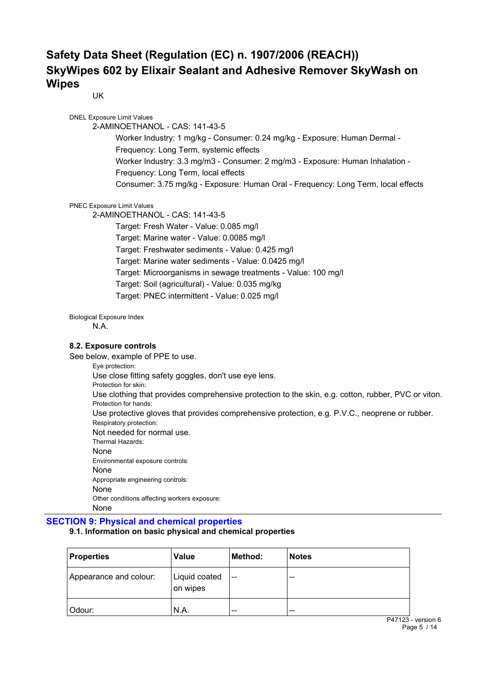UK

DNEL Exposure Limit Values 2-AMINOETHANOL - CAS: 141-43-5 Worker Industry: 1 mg/kg - Consumer: 0.24 mg/kg - Exposure: Human Dermal - Frequency: Long Term, systemic effects Worker Industry: 3.3 mg/m3 - Consumer: 2 mg/m3 - Exposure: Human Inhalation - Frequency: Long Term, local effects Consumer: 3.75 mg/kg - Exposure: Human Oral - Frequency: Long Term, local effects PNEC Exposure Limit Values

2-AMINOETHANOL - CAS: 141-43-5

Target: Fresh Water - Value: 0.085 mg/l Target: Marine water - Value: 0.0085 mg/l Target: Freshwater sediments - Value: 0.425 mg/l Target: Marine water sediments - Value: 0.0425 mg/l Target: Microorganisms in sewage treatments - Value: 100 mg/l Target: Soil (agricultural) - Value: 0.035 mg/kg Target: PNEC intermittent - Value: 0.025 mg/l

Biological Exposure Index

N.A.

#### **8.2. Exposure controls**

See below, example of PPE to use.

Eye protection: Use close fitting safety goggles, don't use eye lens. Protection for skin: Use clothing that provides comprehensive protection to the skin, e.g. cotton, rubber, PVC or viton. Protection for hands: Use protective gloves that provides comprehensive protection, e.g. P.V.C., neoprene or rubber. Respiratory protection: Not needed for normal use. Thermal Hazards: None Environmental exposure controls: None Appropriate engineering controls: None Other conditions affecting workers exposure: None

### **SECTION 9: Physical and chemical properties**

#### **9.1. Information on basic physical and chemical properties**

| <b>Properties</b>      | <b>Value</b>              | Method:       | <b>Notes</b> |
|------------------------|---------------------------|---------------|--------------|
| Appearance and colour: | Liquid coated<br>on wipes | $\sim$ $\sim$ | $- -$        |
| Odour:                 | N.A.                      | $- -$         | $- -$        |

P47123 - version 6 Page 5 / 14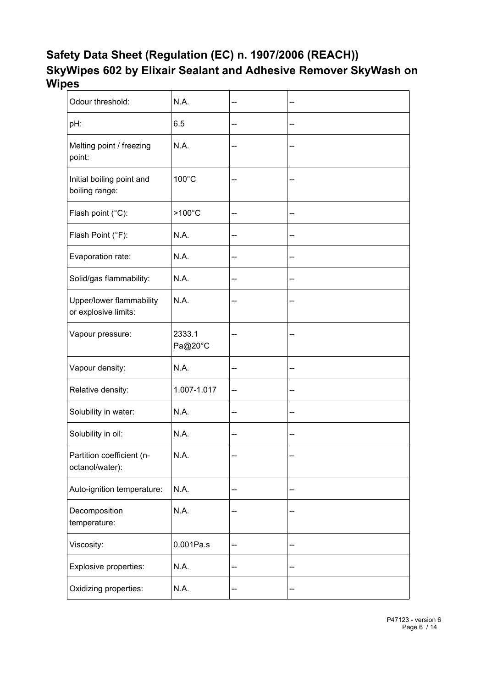| Odour threshold:                                 | N.A.              | -- |    |
|--------------------------------------------------|-------------------|----|----|
| pH:                                              | 6.5               | -- | -- |
| Melting point / freezing<br>point:               | N.A.              |    |    |
| Initial boiling point and<br>boiling range:      | 100°C             | -- |    |
| Flash point (°C):                                | $>100^{\circ}$ C  | -- | -- |
| Flash Point (°F):                                | N.A.              | -- |    |
| Evaporation rate:                                | N.A.              | -- |    |
| Solid/gas flammability:                          | N.A.              | -- | -- |
| Upper/lower flammability<br>or explosive limits: | N.A.              |    |    |
| Vapour pressure:                                 | 2333.1<br>Pa@20°C | -- | -- |
| Vapour density:                                  | N.A.              | -- | -- |
| Relative density:                                | 1.007-1.017       | -- |    |
| Solubility in water:                             | N.A.              | -- | -- |
| Solubility in oil:                               | N.A.              | -- | -- |
| Partition coefficient (n-<br>octanol/water):     | N.A.              | -- |    |
| Auto-ignition temperature:                       | N.A.              | -- | -- |
| Decomposition<br>temperature:                    | N.A.              | ۰. |    |
| Viscosity:                                       | 0.001Pa.s         | -- |    |
| Explosive properties:                            | N.A.              | -- |    |
| Oxidizing properties:                            | N.A.              | -- | -- |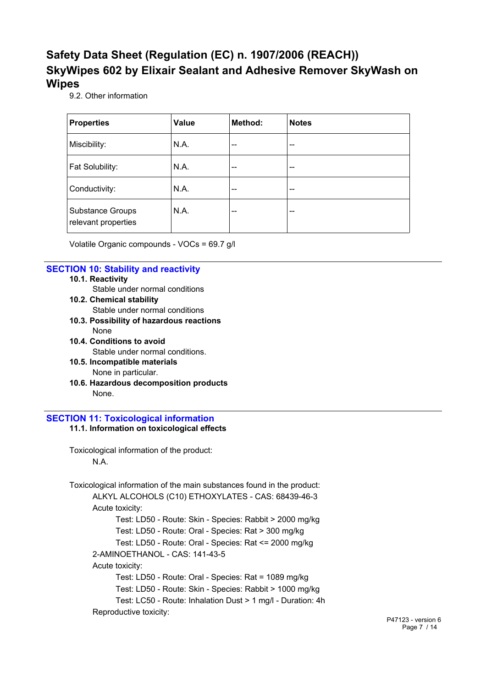9.2. Other information

| <b>Properties</b>                              | <b>Value</b> | Method: | <b>Notes</b> |
|------------------------------------------------|--------------|---------|--------------|
| Miscibility:                                   | N.A.         | $-$     | --           |
| Fat Solubility:                                | N.A.         | $- -$   | --           |
| Conductivity:                                  | N.A.         | --      | --           |
| <b>Substance Groups</b><br>relevant properties | N.A.         | $-$     | --           |

Volatile Organic compounds - VOCs = 69.7 g/l

### **SECTION 10: Stability and reactivity**

- **10.1. Reactivity**
	- Stable under normal conditions
- **10.2. Chemical stability** Stable under normal conditions
- **10.3. Possibility of hazardous reactions** None
- **10.4. Conditions to avoid** Stable under normal conditions.
- **10.5. Incompatible materials** None in particular.
- **10.6. Hazardous decomposition products** None.

## **SECTION 11: Toxicological information**

#### **11.1. Information on toxicological effects**

Toxicological information of the product: N.A.

Toxicological information of the main substances found in the product: ALKYL ALCOHOLS (C10) ETHOXYLATES - CAS: 68439-46-3 Acute toxicity: Test: LD50 - Route: Skin - Species: Rabbit > 2000 mg/kg Test: LD50 - Route: Oral - Species: Rat > 300 mg/kg Test: LD50 - Route: Oral - Species: Rat <= 2000 mg/kg 2-AMINOETHANOL - CAS: 141-43-5 Acute toxicity: Test: LD50 - Route: Oral - Species: Rat = 1089 mg/kg Test: LD50 - Route: Skin - Species: Rabbit > 1000 mg/kg Test: LC50 - Route: Inhalation Dust > 1 mg/l - Duration: 4h Reproductive toxicity: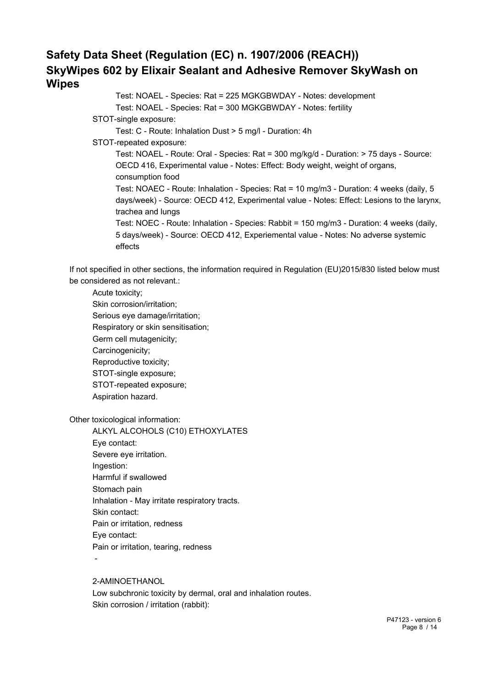Test: NOAEL - Species: Rat = 225 MGKGBWDAY - Notes: development Test: NOAEL - Species: Rat = 300 MGKGBWDAY - Notes: fertility STOT-single exposure: Test: C - Route: Inhalation Dust > 5 mg/l - Duration: 4h STOT-repeated exposure: Test: NOAEL - Route: Oral - Species: Rat = 300 mg/kg/d - Duration: > 75 days - Source: OECD 416, Experimental value - Notes: Effect: Body weight, weight of organs, consumption food Test: NOAEC - Route: Inhalation - Species: Rat = 10 mg/m3 - Duration: 4 weeks (daily, 5 days/week) - Source: OECD 412, Experimental value - Notes: Effect: Lesions to the larynx, trachea and lungs Test: NOEC - Route: Inhalation - Species: Rabbit = 150 mg/m3 - Duration: 4 weeks (daily, 5 days/week) - Source: OECD 412, Experiemental value - Notes: No adverse systemic effects

If not specified in other sections, the information required in Regulation (EU)2015/830 listed below must be considered as not relevant.:

Acute toxicity;

Skin corrosion/irritation; Serious eye damage/irritation; Respiratory or skin sensitisation; Germ cell mutagenicity; Carcinogenicity; Reproductive toxicity; STOT-single exposure; STOT-repeated exposure; Aspiration hazard.

Other toxicological information:

ALKYL ALCOHOLS (C10) ETHOXYLATES Eye contact: Severe eye irritation. Ingestion: Harmful if swallowed Stomach pain Inhalation - May irritate respiratory tracts. Skin contact: Pain or irritation, redness Eye contact: Pain or irritation, tearing, redness

-

2-AMINOETHANOL Low subchronic toxicity by dermal, oral and inhalation routes. Skin corrosion / irritation (rabbit):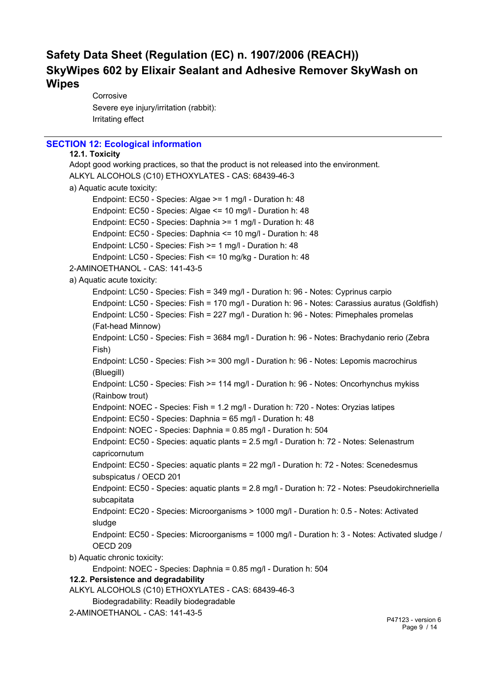Corrosive Severe eye injury/irritation (rabbit): Irritating effect

## **SECTION 12: Ecological information**

```
12.1. Toxicity
Adopt good working practices, so that the product is not released into the environment.
ALKYL ALCOHOLS (C10) ETHOXYLATES - CAS: 68439-46-3
a) Aquatic acute toxicity:
      Endpoint: EC50 - Species: Algae >= 1 mg/l - Duration h: 48
      Endpoint: EC50 - Species: Algae <= 10 mg/l - Duration h: 48
      Endpoint: EC50 - Species: Daphnia >= 1 mg/l - Duration h: 48
      Endpoint: EC50 - Species: Daphnia <= 10 mg/l - Duration h: 48
      Endpoint: LC50 - Species: Fish >= 1 mg/l - Duration h: 48
      Endpoint: LC50 - Species: Fish <= 10 mg/kg - Duration h: 48
2-AMINOETHANOL - CAS: 141-43-5
a) Aquatic acute toxicity:
      Endpoint: LC50 - Species: Fish = 349 mg/l - Duration h: 96 - Notes: Cyprinus carpio
      Endpoint: LC50 - Species: Fish = 170 mg/l - Duration h: 96 - Notes: Carassius auratus (Goldfish)
      Endpoint: LC50 - Species: Fish = 227 mg/l - Duration h: 96 - Notes: Pimephales promelas
      (Fat-head Minnow)
      Endpoint: LC50 - Species: Fish = 3684 mg/l - Duration h: 96 - Notes: Brachydanio rerio (Zebra
      Fish)
      Endpoint: LC50 - Species: Fish >= 300 mg/l - Duration h: 96 - Notes: Lepomis macrochirus
      (Bluegill)
      Endpoint: LC50 - Species: Fish >= 114 mg/l - Duration h: 96 - Notes: Oncorhynchus mykiss
      (Rainbow trout)
      Endpoint: NOEC - Species: Fish = 1.2 mg/l - Duration h: 720 - Notes: Oryzias latipes
      Endpoint: EC50 - Species: Daphnia = 65 mg/l - Duration h: 48
      Endpoint: NOEC - Species: Daphnia = 0.85 mg/l - Duration h: 504
      Endpoint: EC50 - Species: aquatic plants = 2.5 mg/l - Duration h: 72 - Notes: Selenastrum
      capricornutum
      Endpoint: EC50 - Species: aquatic plants = 22 mg/l - Duration h: 72 - Notes: Scenedesmus
      subspicatus / OECD 201
      Endpoint: EC50 - Species: aquatic plants = 2.8 mg/l - Duration h: 72 - Notes: Pseudokirchneriella
      subcapitata
      Endpoint: EC20 - Species: Microorganisms > 1000 mg/l - Duration h: 0.5 - Notes: Activated
      sludge
      Endpoint: EC50 - Species: Microorganisms = 1000 mg/l - Duration h: 3 - Notes: Activated sludge /
      OECD 209
b) Aquatic chronic toxicity:
      Endpoint: NOEC - Species: Daphnia = 0.85 mg/l - Duration h: 504
12.2. Persistence and degradability
ALKYL ALCOHOLS (C10) ETHOXYLATES - CAS: 68439-46-3
      Biodegradability: Readily biodegradable
```
2-AMINOETHANOL - CAS: 141-43-5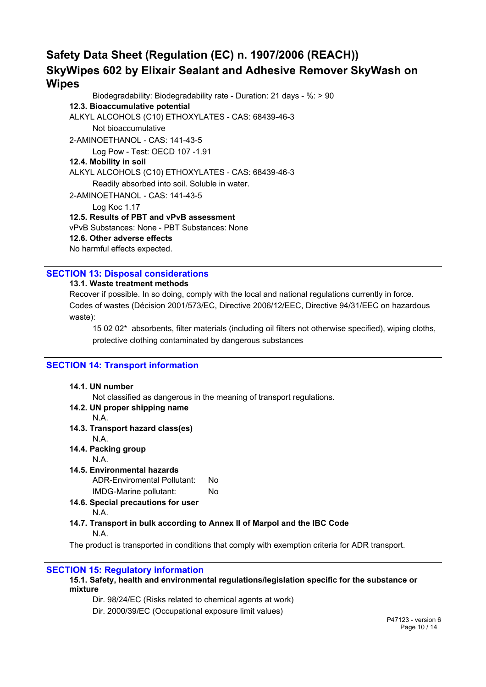Biodegradability: Biodegradability rate - Duration: 21 days - %: > 90 **12.3. Bioaccumulative potential** ALKYL ALCOHOLS (C10) ETHOXYLATES - CAS: 68439-46-3 Not bioaccumulative 2-AMINOETHANOL - CAS: 141-43-5 Log Pow - Test: OECD 107 -1.91 **12.4. Mobility in soil** ALKYL ALCOHOLS (C10) ETHOXYLATES - CAS: 68439-46-3 Readily absorbed into soil. Soluble in water. 2-AMINOETHANOL - CAS: 141-43-5 Log Koc 1.17 **12.5. Results of PBT and vPvB assessment** vPvB Substances: None - PBT Substances: None **12.6. Other adverse effects** No harmful effects expected.

## **SECTION 13: Disposal considerations**

### **13.1. Waste treatment methods**

Recover if possible. In so doing, comply with the local and national regulations currently in force. Codes of wastes (Décision 2001/573/EC, Directive 2006/12/EEC, Directive 94/31/EEC on hazardous waste):

15 02 02\* absorbents, filter materials (including oil filters not otherwise specified), wiping cloths, protective clothing contaminated by dangerous substances

## **SECTION 14: Transport information**

| 14.1. UN number                                                                                 |
|-------------------------------------------------------------------------------------------------|
| Not classified as dangerous in the meaning of transport regulations.                            |
| 14.2. UN proper shipping name                                                                   |
| N.A.                                                                                            |
| 14.3. Transport hazard class(es)                                                                |
| N.A.                                                                                            |
| 14.4. Packing group                                                                             |
| N.A.                                                                                            |
| 14.5. Environmental hazards                                                                     |
| ADR-Enviromental Pollutant:<br>No.                                                              |
| IMDG-Marine pollutant:<br>No.                                                                   |
| 14.6. Special precautions for user                                                              |
| N.A.                                                                                            |
| 14.7. Transport in bulk according to Annex II of Marpol and the IBC Code                        |
| N.A.                                                                                            |
| The product is transported in conditions that comply with exemption criteria for ADR transport. |
|                                                                                                 |

### **SECTION 15: Regulatory information**

#### **15.1. Safety, health and environmental regulations/legislation specific for the substance or mixture**

Dir. 98/24/EC (Risks related to chemical agents at work)

Dir. 2000/39/EC (Occupational exposure limit values)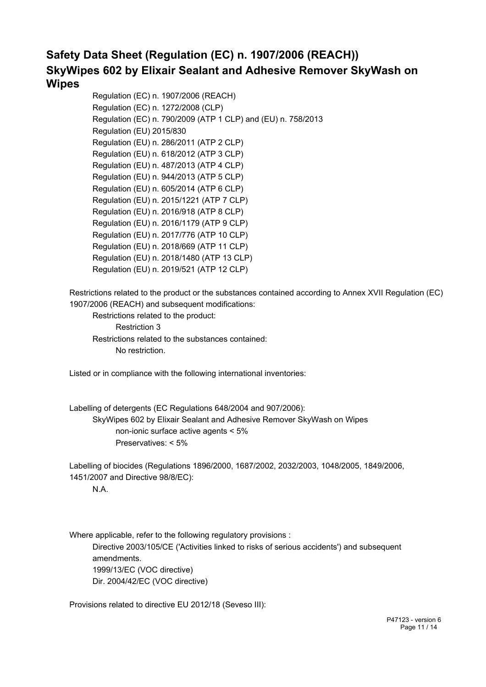Regulation (EC) n. 1907/2006 (REACH) Regulation (EC) n. 1272/2008 (CLP) Regulation (EC) n. 790/2009 (ATP 1 CLP) and (EU) n. 758/2013 Regulation (EU) 2015/830 Regulation (EU) n. 286/2011 (ATP 2 CLP) Regulation (EU) n. 618/2012 (ATP 3 CLP) Regulation (EU) n. 487/2013 (ATP 4 CLP) Regulation (EU) n. 944/2013 (ATP 5 CLP) Regulation (EU) n. 605/2014 (ATP 6 CLP) Regulation (EU) n. 2015/1221 (ATP 7 CLP) Regulation (EU) n. 2016/918 (ATP 8 CLP) Regulation (EU) n. 2016/1179 (ATP 9 CLP) Regulation (EU) n. 2017/776 (ATP 10 CLP) Regulation (EU) n. 2018/669 (ATP 11 CLP) Regulation (EU) n. 2018/1480 (ATP 13 CLP) Regulation (EU) n. 2019/521 (ATP 12 CLP)

Restrictions related to the product or the substances contained according to Annex XVII Regulation (EC) 1907/2006 (REACH) and subsequent modifications:

Restrictions related to the product: Restriction 3 Restrictions related to the substances contained: No restriction.

Listed or in compliance with the following international inventories:

Labelling of detergents (EC Regulations 648/2004 and 907/2006): SkyWipes 602 by Elixair Sealant and Adhesive Remover SkyWash on Wipes non-ionic surface active agents < 5% Preservatives: < 5%

Labelling of biocides (Regulations 1896/2000, 1687/2002, 2032/2003, 1048/2005, 1849/2006, 1451/2007 and Directive 98/8/EC):

N.A.

Where applicable, refer to the following regulatory provisions : Directive 2003/105/CE ('Activities linked to risks of serious accidents') and subsequent amendments. 1999/13/EC (VOC directive) Dir. 2004/42/EC (VOC directive)

Provisions related to directive EU 2012/18 (Seveso III):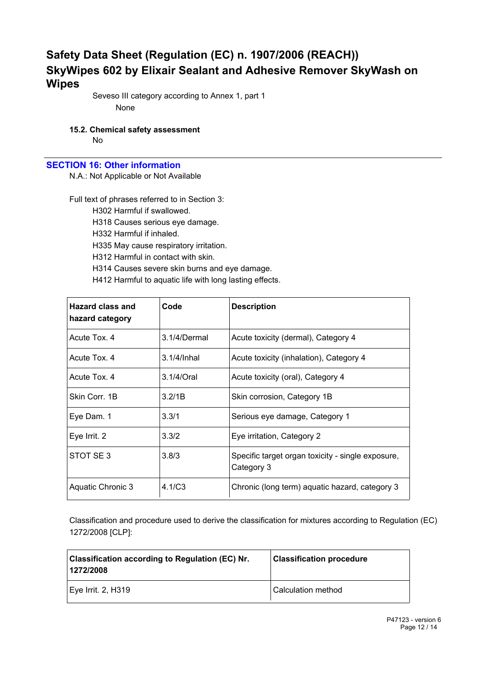Seveso III category according to Annex 1, part 1 None

## **15.2. Chemical safety assessment**

No

## **SECTION 16: Other information**

N.A.: Not Applicable or Not Available

Full text of phrases referred to in Section 3: H302 Harmful if swallowed. H318 Causes serious eye damage. H332 Harmful if inhaled. H335 May cause respiratory irritation. H312 Harmful in contact with skin. H314 Causes severe skin burns and eye damage. H412 Harmful to aquatic life with long lasting effects.

| <b>Hazard class and</b><br>hazard category | Code         | <b>Description</b>                                              |
|--------------------------------------------|--------------|-----------------------------------------------------------------|
| Acute Tox, 4                               | 3.1/4/Dermal | Acute toxicity (dermal), Category 4                             |
| Acute Tox, 4                               | 3.1/4/Inhal  | Acute toxicity (inhalation), Category 4                         |
| Acute Tox. 4                               | 3.1/4/Oral   | Acute toxicity (oral), Category 4                               |
| Skin Corr. 1B                              | 3.2/1B       | Skin corrosion, Category 1B                                     |
| Eye Dam. 1                                 | 3.3/1        | Serious eye damage, Category 1                                  |
| Eye Irrit. 2                               | 3.3/2        | Eye irritation, Category 2                                      |
| STOT SE3                                   | 3.8/3        | Specific target organ toxicity - single exposure,<br>Category 3 |
| Aquatic Chronic 3                          | 4.1/C3       | Chronic (long term) aquatic hazard, category 3                  |

Classification and procedure used to derive the classification for mixtures according to Regulation (EC) 1272/2008 [CLP]:

| <b>Classification according to Regulation (EC) Nr.</b><br>1272/2008 | <b>Classification procedure</b> |
|---------------------------------------------------------------------|---------------------------------|
| Eye Irrit. 2, H319                                                  | Calculation method              |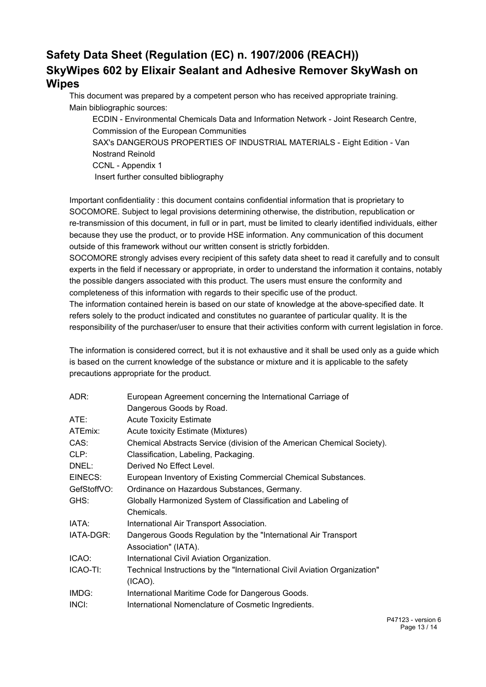This document was prepared by a competent person who has received appropriate training. Main bibliographic sources:

ECDIN - Environmental Chemicals Data and Information Network - Joint Research Centre, Commission of the European Communities SAX's DANGEROUS PROPERTIES OF INDUSTRIAL MATERIALS - Eight Edition - Van Nostrand Reinold CCNL - Appendix 1 Insert further consulted bibliography

Important confidentiality : this document contains confidential information that is proprietary to SOCOMORE. Subject to legal provisions determining otherwise, the distribution, republication or re-transmission of this document, in full or in part, must be limited to clearly identified individuals, either because they use the product, or to provide HSE information. Any communication of this document outside of this framework without our written consent is strictly forbidden.

SOCOMORE strongly advises every recipient of this safety data sheet to read it carefully and to consult experts in the field if necessary or appropriate, in order to understand the information it contains, notably the possible dangers associated with this product. The users must ensure the conformity and completeness of this information with regards to their specific use of the product.

The information contained herein is based on our state of knowledge at the above-specified date. It refers solely to the product indicated and constitutes no guarantee of particular quality. It is the responsibility of the purchaser/user to ensure that their activities conform with current legislation in force.

The information is considered correct, but it is not exhaustive and it shall be used only as a guide which is based on the current knowledge of the substance or mixture and it is applicable to the safety precautions appropriate for the product.

| ADR:        | European Agreement concerning the International Carriage of               |
|-------------|---------------------------------------------------------------------------|
|             | Dangerous Goods by Road.                                                  |
| ATE:        | <b>Acute Toxicity Estimate</b>                                            |
| ATEmix:     | Acute toxicity Estimate (Mixtures)                                        |
| CAS:        | Chemical Abstracts Service (division of the American Chemical Society).   |
| CLP:        | Classification, Labeling, Packaging.                                      |
| DNEL:       | Derived No Effect Level.                                                  |
| EINECS:     | European Inventory of Existing Commercial Chemical Substances.            |
| GefStoffVO: | Ordinance on Hazardous Substances, Germany.                               |
| GHS:        | Globally Harmonized System of Classification and Labeling of              |
|             | Chemicals.                                                                |
| IATA:       | International Air Transport Association.                                  |
| IATA-DGR:   | Dangerous Goods Regulation by the "International Air Transport"           |
|             | Association" (IATA).                                                      |
| ICAO:       | International Civil Aviation Organization.                                |
| ICAO-TI:    | Technical Instructions by the "International Civil Aviation Organization" |
|             | (ICAO).                                                                   |
| IMDG:       | International Maritime Code for Dangerous Goods.                          |
| INCI:       | International Nomenclature of Cosmetic Ingredients.                       |